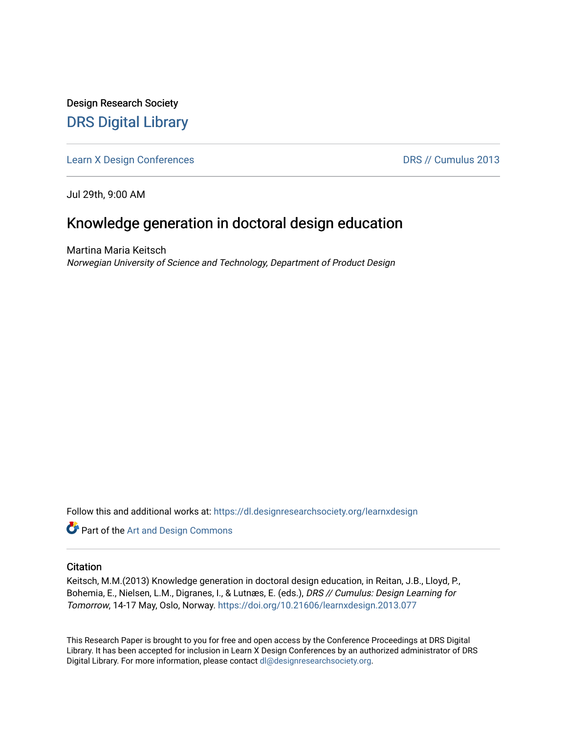Design Research Society [DRS Digital Library](https://dl.designresearchsociety.org/)

[Learn X Design Conferences](https://dl.designresearchsociety.org/learnxdesign) **DRS // Cumulus 2013** 

Jul 29th, 9:00 AM

# Knowledge generation in doctoral design education

Martina Maria Keitsch Norwegian University of Science and Technology, Department of Product Design

Follow this and additional works at: [https://dl.designresearchsociety.org/learnxdesign](https://dl.designresearchsociety.org/learnxdesign?utm_source=dl.designresearchsociety.org%2Flearnxdesign%2Flearnxdesign2013%2Fresearchpapers%2F76&utm_medium=PDF&utm_campaign=PDFCoverPages)

**Part of the [Art and Design Commons](http://network.bepress.com/hgg/discipline/1049?utm_source=dl.designresearchsociety.org%2Flearnxdesign%2Flearnxdesign2013%2Fresearchpapers%2F76&utm_medium=PDF&utm_campaign=PDFCoverPages)** 

### **Citation**

Keitsch, M.M.(2013) Knowledge generation in doctoral design education, in Reitan, J.B., Lloyd, P., Bohemia, E., Nielsen, L.M., Digranes, I., & Lutnæs, E. (eds.), DRS // Cumulus: Design Learning for Tomorrow, 14-17 May, Oslo, Norway. <https://doi.org/10.21606/learnxdesign.2013.077>

This Research Paper is brought to you for free and open access by the Conference Proceedings at DRS Digital Library. It has been accepted for inclusion in Learn X Design Conferences by an authorized administrator of DRS Digital Library. For more information, please contact [dl@designresearchsociety.org](mailto:dl@designresearchsociety.org).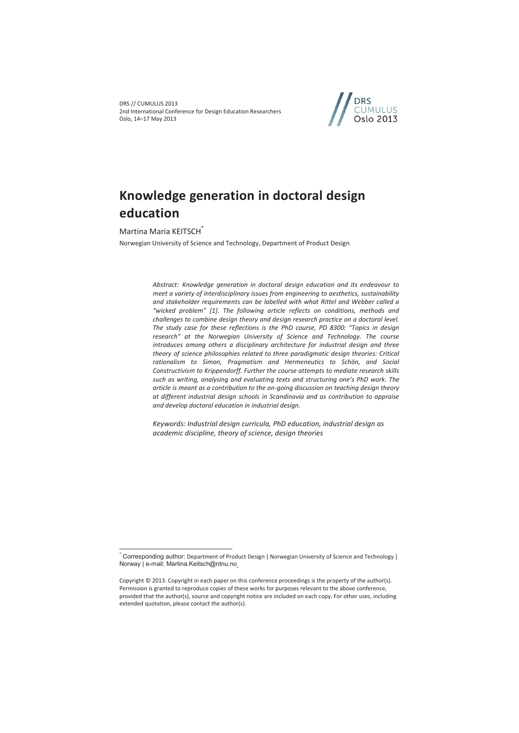DRS // CUMULUS 2013 2nd International Conference for Design Education Researchers Oslo, 14–17 May 2013



# **Knowledge generation in doctoral design education**

Martina Maria KEITSCH<sup>\*</sup>

 $\overline{a}$ 

Norwegian University of Science and Technology, Department of Product Design

*Abstract: Knowledge generation in doctoral design education and its endeavour to meet a variety of interdisciplinary issues from engineering to aesthetics, sustainability and stakeholder requirements can be labelled with what Rittel and Webber called a "wicked problem" [1]. The following article reflects on conditions, methods and challenges to combine design theory and design research practice on a doctoral level. The study case for these reflections is the PhD course, PD 8300: "Topics in design research" at the Norwegian University of Science and Technology. The course introduces among others a disciplinary architecture for industrial design and three theory of science philosophies related to three paradigmatic design theories: Critical rationalism to Simon, Pragmatism and Hermeneutics to Schön, and Social Constructivism to Krippendorff. Further the course attempts to mediate research skills such as writing, analysing and evaluating texts and structuring one's PhD work. The article is meant as a contribution to the on-going discussion on teaching design theory at different industrial design schools in Scandinavia and as contribution to appraise and develop doctoral education in industrial design.* 

*Keywords: Industrial design curricula, PhD education, industrial design as academic discipline, theory of science, design theories* 

<sup>\*</sup> Corresponding author: Department of Product Design | Norwegian University of Science and Technology | Norway | e-mail: Martina.Keitsch@ntnu.no

Copyright © 2013. Copyright in each paper on this conference proceedings is the property of the author(s). Permission is granted to reproduce copies of these works for purposes relevant to the above conference, provided that the author(s), source and copyright notice are included on each copy. For other uses, including extended quotation, please contact the author(s).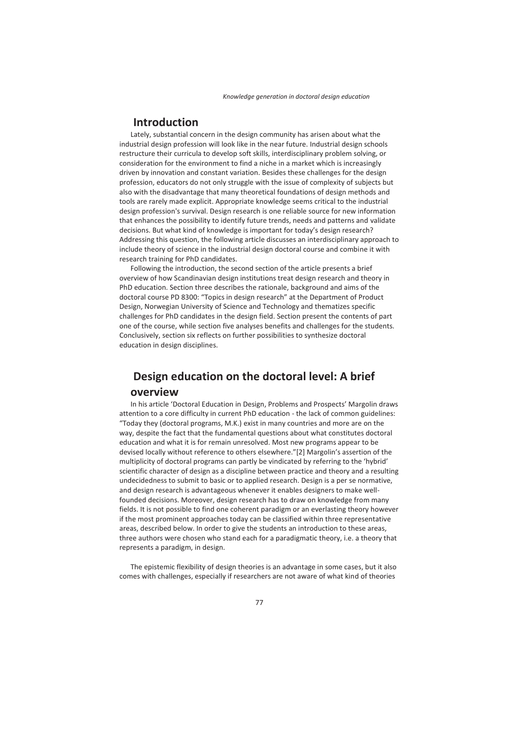## **Introduction**

Lately, substantial concern in the design community has arisen about what the industrial design profession will look like in the near future. Industrial design schools restructure their curricula to develop soft skills, interdisciplinary problem solving, or consideration for the environment to find a niche in a market which is increasingly driven by innovation and constant variation. Besides these challenges for the design profession, educators do not only struggle with the issue of complexity of subjects but also with the disadvantage that many theoretical foundations of design methods and tools are rarely made explicit. Appropriate knowledge seems critical to the industrial design profession's survival. Design research is one reliable source for new information that enhances the possibility to identify future trends, needs and patterns and validate decisions. But what kind of knowledge is important for today's design research? Addressing this question, the following article discusses an interdisciplinary approach to include theory of science in the industrial design doctoral course and combine it with research training for PhD candidates.

Following the introduction, the second section of the article presents a brief overview of how Scandinavian design institutions treat design research and theory in PhD education. Section three describes the rationale, background and aims of the doctoral course PD 8300: "Topics in design research" at the Department of Product Design, Norwegian University of Science and Technology and thematizes specific challenges for PhD candidates in the design field. Section present the contents of part one of the course, while section five analyses benefits and challenges for the students. Conclusively, section six reflects on further possibilities to synthesize doctoral education in design disciplines.

# **Design education on the doctoral level: A brief overview**

In his article 'Doctoral Education in Design, Problems and Prospects' Margolin draws attention to a core difficulty in current PhD education - the lack of common guidelines: "Today they (doctoral programs, M.K.) exist in many countries and more are on the way, despite the fact that the fundamental questions about what constitutes doctoral education and what it is for remain unresolved. Most new programs appear to be devised locally without reference to others elsewhere."[2] Margolin's assertion of the multiplicity of doctoral programs can partly be vindicated by referring to the 'hybrid' scientific character of design as a discipline between practice and theory and a resulting undecidedness to submit to basic or to applied research. Design is a per se normative, and design research is advantageous whenever it enables designers to make wellfounded decisions. Moreover, design research has to draw on knowledge from many fields. It is not possible to find one coherent paradigm or an everlasting theory however if the most prominent approaches today can be classified within three representative areas, described below. In order to give the students an introduction to these areas, three authors were chosen who stand each for a paradigmatic theory, i.e. a theory that represents a paradigm, in design.

The epistemic flexibility of design theories is an advantage in some cases, but it also comes with challenges, especially if researchers are not aware of what kind of theories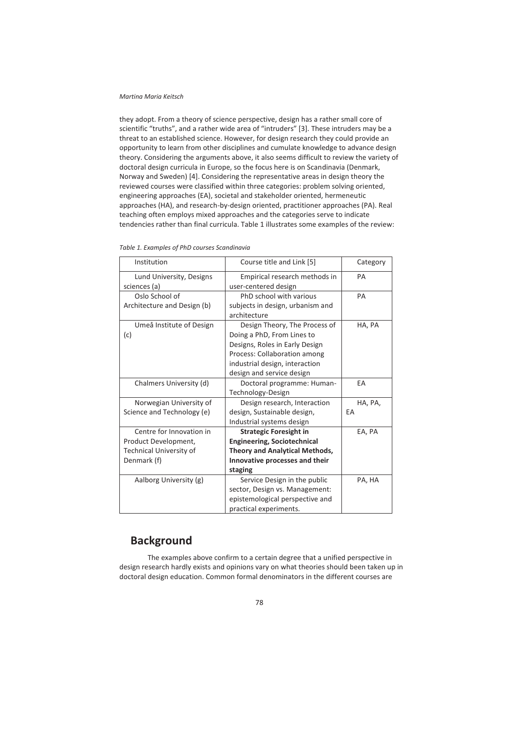#### *Martina Maria Keitsch*

they adopt. From a theory of science perspective, design has a rather small core of scientific "truths", and a rather wide area of "intruders" [3]. These intruders may be a threat to an established science. However, for design research they could provide an opportunity to learn from other disciplines and cumulate knowledge to advance design theory. Considering the arguments above, it also seems difficult to review the variety of doctoral design curricula in Europe, so the focus here is on Scandinavia (Denmark, Norway and Sweden) [4]. Considering the representative areas in design theory the reviewed courses were classified within three categories: problem solving oriented, engineering approaches (EA), societal and stakeholder oriented, hermeneutic approaches (HA), and research-by-design oriented, practitioner approaches (PA). Real teaching often employs mixed approaches and the categories serve to indicate tendencies rather than final curricula. Table 1 illustrates some examples of the review:

| Institution                    | Course title and Link [5]             | Category |
|--------------------------------|---------------------------------------|----------|
| Lund University, Designs       | Empirical research methods in         | PA       |
| sciences (a)                   | user-centered design                  |          |
| Oslo School of                 | PhD school with various               | PA       |
| Architecture and Design (b)    | subjects in design, urbanism and      |          |
|                                | architecture                          |          |
| Umeå Institute of Design       | Design Theory, The Process of         | HA, PA   |
| (c)                            | Doing a PhD, From Lines to            |          |
|                                | Designs, Roles in Early Design        |          |
|                                | Process: Collaboration among          |          |
|                                | industrial design, interaction        |          |
|                                | design and service design             |          |
| Chalmers University (d)        | Doctoral programme: Human-            | EA       |
|                                | Technology-Design                     |          |
| Norwegian University of        | Design research, Interaction          | HA, PA,  |
| Science and Technology (e)     | design, Sustainable design,           | EA       |
|                                | Industrial systems design             |          |
| Centre for Innovation in       | <b>Strategic Foresight in</b>         | EA, PA   |
| Product Development,           | <b>Engineering, Sociotechnical</b>    |          |
| <b>Technical University of</b> | <b>Theory and Analytical Methods,</b> |          |
| Denmark (f)                    | Innovative processes and their        |          |
|                                | staging                               |          |
| Aalborg University (g)         | Service Design in the public          | PA, HA   |
|                                | sector, Design vs. Management:        |          |
|                                | epistemological perspective and       |          |
|                                | practical experiments.                |          |

# **Background**

The examples above confirm to a certain degree that a unified perspective in design research hardly exists and opinions vary on what theories should been taken up in doctoral design education. Common formal denominators in the different courses are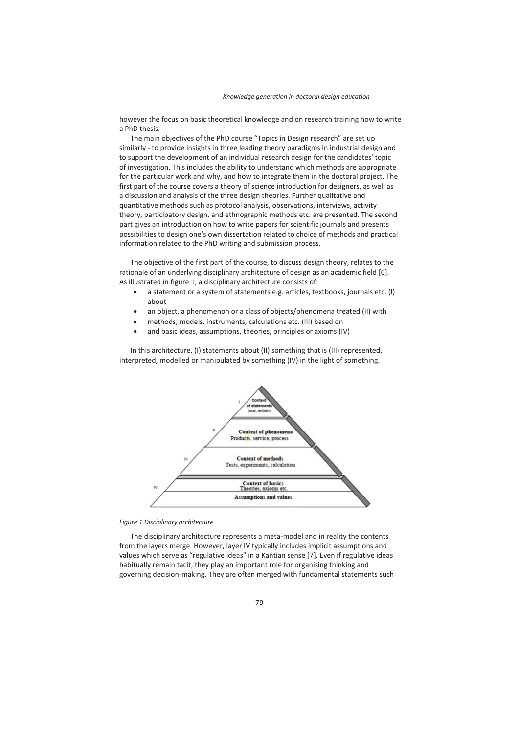however the focus on basic theoretical knowledge and on research training how to write a PhD thesis.

The main objectives of the PhD course "Topics in Design research" are set up similarly - to provide insights in three leading theory paradigms in industrial design and to support the development of an individual research design for the candidates' topic of investigation. This includes the ability to understand which methods are appropriate for the particular work and why, and how to integrate them in the doctoral project. The first part of the course covers a theory of science introduction for designers, as well as a discussion and analysis of the three design theories. Further qualitative and quantitative methods such as protocol analysis, observations, interviews, activity theory, participatory design, and ethnographic methods etc. are presented. The second part gives an introduction on how to write papers for scientific journals and presents possibilities to design one's own dissertation related to choice of methods and practical information related to the PhD writing and submission process.

The objective of the first part of the course, to discuss design theory, relates to the rationale of an underlying disciplinary architecture of design as an academic field [6]. As illustrated in figure 1, a disciplinary architecture consists of:

- a statement or a system of statements e.g. articles, textbooks, journals etc. (I) about
- an object, a phenomenon or a class of objects/phenomena treated (II) with
- methods, models, instruments, calculations etc. (III) based on
- and basic ideas, assumptions, theories, principles or axioms (IV)

In this architecture, (I) statements about (II) something that is (III) represented, interpreted, modelled or manipulated by something (IV) in the light of something.



#### *Figure 1.Disciplinary architecture*

The disciplinary architecture represents a meta-model and in reality the contents from the layers merge. However, layer IV typically includes implicit assumptions and values which serve as "regulative ideas" in a Kantian sense [7]. Even if regulative ideas habitually remain tacit, they play an important role for organising thinking and governing decision-making. They are often merged with fundamental statements such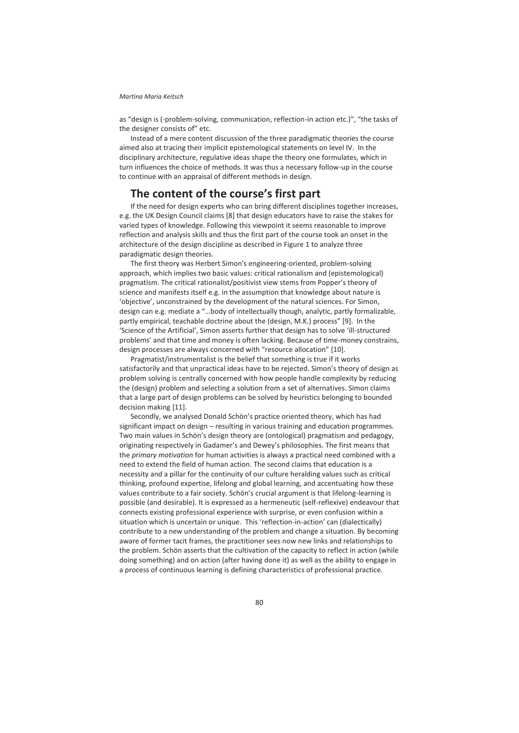#### *Martina Maria Keitsch*

as "design is (-problem-solving, communication, reflection-in action etc.)", "the tasks of the designer consists of" etc.

Instead of a mere content discussion of the three paradigmatic theories the course aimed also at tracing their implicit epistemological statements on level IV. In the disciplinary architecture, regulative ideas shape the theory one formulates, which in turn influences the choice of methods. It was thus a necessary follow-up in the course to continue with an appraisal of different methods in design.

## **The content of the course's first part**

If the need for design experts who can bring different disciplines together increases, e.g. the UK Design Council claims [8] that design educators have to raise the stakes for varied types of knowledge. Following this viewpoint it seems reasonable to improve reflection and analysis skills and thus the first part of the course took an onset in the architecture of the design discipline as described in Figure 1 to analyze three paradigmatic design theories.

The first theory was Herbert Simon's engineering-oriented, problem-solving approach, which implies two basic values: critical rationalism and (epistemological) pragmatism. The critical rationalist/positivist view stems from Popper's theory of science and manifests itself e.g. in the assumption that knowledge about nature is 'objective', unconstrained by the development of the natural sciences. For Simon, design can e.g. mediate a "…body of intellectually though, analytic, partly formalizable, partly empirical, teachable doctrine about the (design, M.K.) process" [9]. In the 'Science of the Artificial', Simon asserts further that design has to solve 'ill-structured problems' and that time and money is often lacking. Because of time-money constrains, design processes are always concerned with "resource allocation" [10].

Pragmatist/instrumentalist is the belief that something is true if it works satisfactorily and that unpractical ideas have to be rejected. Simon's theory of design as problem solving is centrally concerned with how people handle complexity by reducing the (design) problem and selecting a solution from a set of alternatives. Simon claims that a large part of design problems can be solved by heuristics belonging to bounded decision making [11].

Secondly, we analysed Donald Schön's practice oriented theory, which has had significant impact on design – resulting in various training and education programmes. Two main values in Schön's design theory are (ontological) pragmatism and pedagogy, originating respectively in Gadamer's and Dewey's philosophies. The first means that the *primary motivation* for human activities is always a practical need combined with a need to extend the field of human action. The second claims that education is a necessity and a pillar for the continuity of our culture heralding values such as critical thinking, profound expertise, lifelong and global learning, and accentuating how these values contribute to a fair society. Schön's crucial argument is that lifelong-learning is possible (and desirable). It is expressed as a hermeneutic (self-reflexive) endeavour that connects existing professional experience with surprise, or even confusion within a situation which is uncertain or unique. This 'reflection-in-action' can (dialectically) contribute to a new understanding of the problem and change a situation. By becoming aware of former tacit frames, the practitioner sees now new links and relationships to the problem. Schön asserts that the cultivation of the capacity to reflect in action (while doing something) and on action (after having done it) as well as the ability to engage in a process of continuous learning is defining characteristics of professional practice.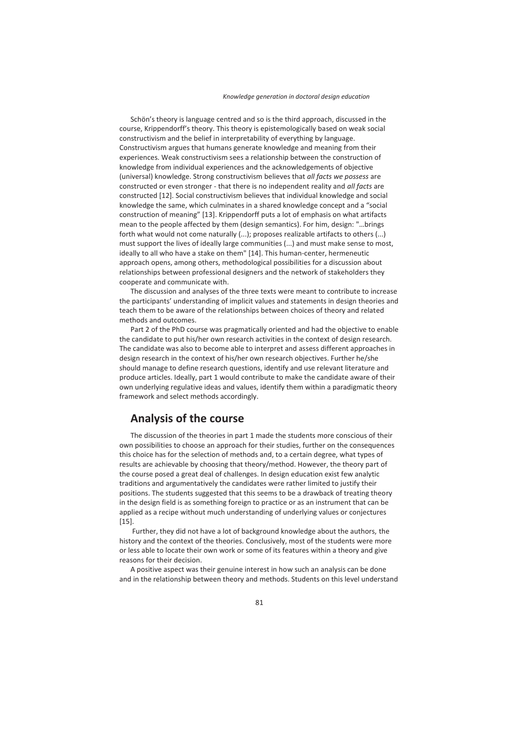Schön's theory is language centred and so is the third approach, discussed in the course, Krippendorff's theory. This theory is epistemologically based on weak social constructivism and the belief in interpretability of everything by language. Constructivism argues that humans generate knowledge and meaning from their experiences. Weak constructivism sees a relationship between the construction of knowledge from individual experiences and the acknowledgements of objective (universal) knowledge. Strong constructivism believes that *all facts we possess* are constructed or even stronger - that there is no independent reality and *all facts* are constructed [12]. Social constructivism believes that individual knowledge and social knowledge the same, which culminates in a shared knowledge concept and a "social construction of meaning" [13]. Krippendorff puts a lot of emphasis on what artifacts mean to the people affected by them (design semantics). For him, design: "…brings forth what would not come naturally (...); proposes realizable artifacts to others (...) must support the lives of ideally large communities (...) and must make sense to most, ideally to all who have a stake on them" [14]. This human-center, hermeneutic approach opens, among others, methodological possibilities for a discussion about relationships between professional designers and the network of stakeholders they cooperate and communicate with.

The discussion and analyses of the three texts were meant to contribute to increase the participants' understanding of implicit values and statements in design theories and teach them to be aware of the relationships between choices of theory and related methods and outcomes.

Part 2 of the PhD course was pragmatically oriented and had the objective to enable the candidate to put his/her own research activities in the context of design research. The candidate was also to become able to interpret and assess different approaches in design research in the context of his/her own research objectives. Further he/she should manage to define research questions, identify and use relevant literature and produce articles. Ideally, part 1 would contribute to make the candidate aware of their own underlying regulative ideas and values, identify them within a paradigmatic theory framework and select methods accordingly.

### **Analysis of the course**

The discussion of the theories in part 1 made the students more conscious of their own possibilities to choose an approach for their studies, further on the consequences this choice has for the selection of methods and, to a certain degree, what types of results are achievable by choosing that theory/method. However, the theory part of the course posed a great deal of challenges. In design education exist few analytic traditions and argumentatively the candidates were rather limited to justify their positions. The students suggested that this seems to be a drawback of treating theory in the design field is as something foreign to practice or as an instrument that can be applied as a recipe without much understanding of underlying values or conjectures [15].

 Further, they did not have a lot of background knowledge about the authors, the history and the context of the theories. Conclusively, most of the students were more or less able to locate their own work or some of its features within a theory and give reasons for their decision.

A positive aspect was their genuine interest in how such an analysis can be done and in the relationship between theory and methods. Students on this level understand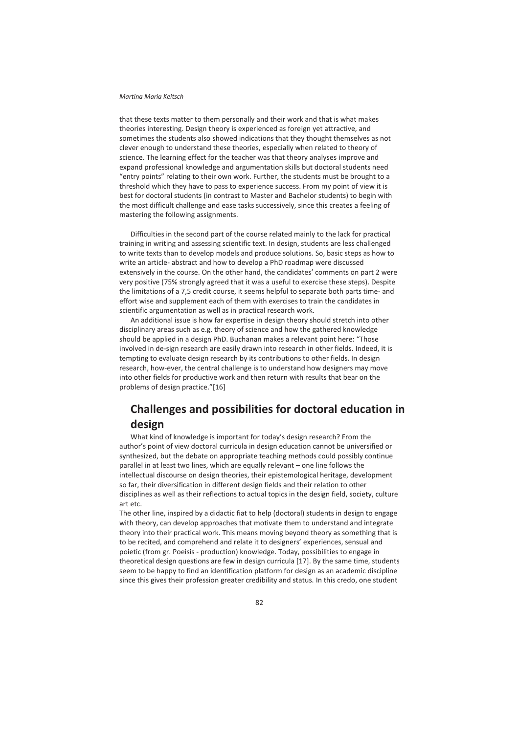#### *Martina Maria Keitsch*

that these texts matter to them personally and their work and that is what makes theories interesting. Design theory is experienced as foreign yet attractive, and sometimes the students also showed indications that they thought themselves as not clever enough to understand these theories, especially when related to theory of science. The learning effect for the teacher was that theory analyses improve and expand professional knowledge and argumentation skills but doctoral students need "entry points" relating to their own work. Further, the students must be brought to a threshold which they have to pass to experience success. From my point of view it is best for doctoral students (in contrast to Master and Bachelor students) to begin with the most difficult challenge and ease tasks successively, since this creates a feeling of mastering the following assignments.

Difficulties in the second part of the course related mainly to the lack for practical training in writing and assessing scientific text. In design, students are less challenged to write texts than to develop models and produce solutions. So, basic steps as how to write an article- abstract and how to develop a PhD roadmap were discussed extensively in the course. On the other hand, the candidates' comments on part 2 were very positive (75% strongly agreed that it was a useful to exercise these steps). Despite the limitations of a 7,5 credit course, it seems helpful to separate both parts time- and effort wise and supplement each of them with exercises to train the candidates in scientific argumentation as well as in practical research work.

An additional issue is how far expertise in design theory should stretch into other disciplinary areas such as e.g. theory of science and how the gathered knowledge should be applied in a design PhD. Buchanan makes a relevant point here: "Those involved in de-sign research are easily drawn into research in other fields. Indeed, it is tempting to evaluate design research by its contributions to other fields. In design research, how-ever, the central challenge is to understand how designers may move into other fields for productive work and then return with results that bear on the problems of design practice."[16]

# **Challenges and possibilities for doctoral education in design**

What kind of knowledge is important for today's design research? From the author's point of view doctoral curricula in design education cannot be universified or synthesized, but the debate on appropriate teaching methods could possibly continue parallel in at least two lines, which are equally relevant – one line follows the intellectual discourse on design theories, their epistemological heritage, development so far, their diversification in different design fields and their relation to other disciplines as well as their reflections to actual topics in the design field, society, culture art etc.

The other line, inspired by a didactic fiat to help (doctoral) students in design to engage with theory, can develop approaches that motivate them to understand and integrate theory into their practical work. This means moving beyond theory as something that is to be recited, and comprehend and relate it to designers' experiences, sensual and poietic (from gr. Poeisis - production) knowledge. Today, possibilities to engage in theoretical design questions are few in design curricula [17]. By the same time, students seem to be happy to find an identification platform for design as an academic discipline since this gives their profession greater credibility and status. In this credo, one student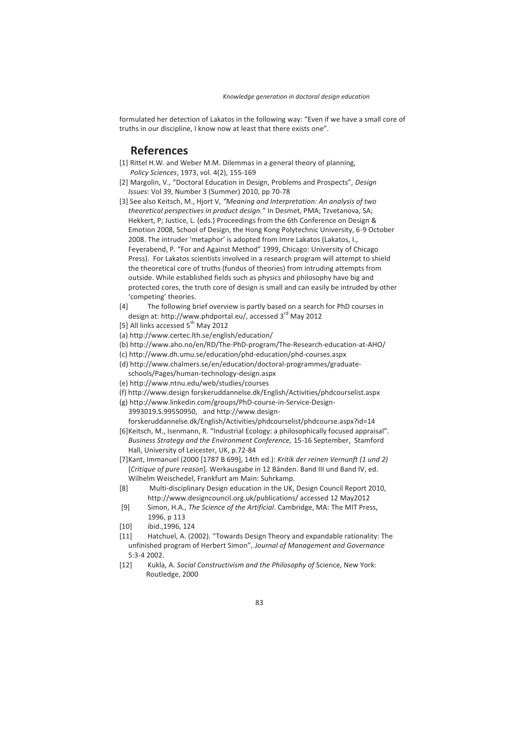formulated her detection of Lakatos in the following way: "Even if we have a small core of truths in our discipline, I know now at least that there exists one".

## **References**

- [1] Rittel H.W. and Weber M.M. Dilemmas in a general theory of planning, *Policy Sciences*, 1973, vol. 4(2), 155-169
- [2] Margolin, V., "Doctoral Education in Design, Problems and Prospects", *Design Issues*: Vol 39, Number 3 (Summer) 2010, pp 70-78
- [3] See also Keitsch, M., Hjort V, *"Meaning and Interpretation: An analysis of two theoretical perspectives in product design."* In Desmet, PMA; Tzvetanova, SA; Hekkert, P; Justice, L. (eds.) Proceedings from the 6th Conference on Design & Emotion 2008, School of Design, the Hong Kong Polytechnic University, 6-9 October 2008. The intruder 'metaphor' is adopted from Imre Lakatos (Lakatos, I., Feyerabend, P. "For and Against Method" 1999, Chicago: University of Chicago Press). For Lakatos scientists involved in a research program will attempt to shield the theoretical core of truths (fundus of theories) from intruding attempts from outside. While established fields such as physics and philosophy have big and protected cores, the truth core of design is small and can easily be intruded by other 'competing' theories.
- [4] The following brief overview is partly based on a search for PhD courses in design at: http://www.phdportal.eu/, accessed 3<sup>rd</sup> May 2012
- [5] All links accessed 5<sup>th</sup> May 2012
- (a) http://www.certec.lth.se/english/education/
- (b) http://www.aho.no/en/RD/The-PhD-program/The-Research-education-at-AHO/
- (c) http://www.dh.umu.se/education/phd-education/phd-courses.aspx
- (d) http://www.chalmers.se/en/education/doctoral-programmes/graduateschools/Pages/human-technology-design.aspx
- (e) http://www.ntnu.edu/web/studies/courses
- (f) http://www.design forskeruddannelse.dk/English/Activities/phdcourselist.aspx
- (g) http://www.linkedin.com/groups/PhD-course-in-Service-Design-3993019.S.99550950, and http://www.designforskeruddannelse.dk/English/Activities/phdcourselist/phdcourse.aspx?id=14
- [6] Keitsch, M., Isenmann, R. "Industrial Ecology: a philosophically focused appraisal". *Business Strategy and the Environment Conference,* 15-16 September, Stamford Hall, University of Leicester, UK, p.72-84
- [7] Kant, Immanuel (2000 [1787 B 699], 14th ed.): *Kritik der reinen Vernunft (1 und 2)*  [*Critique of pure reason*]*.* Werkausgabe in 12 Bänden. Band III und Band IV, ed. Wilhelm Weischedel, Frankfurt am Main: Suhrkamp.
- [8] Multi-disciplinary Design education in the UK, Design Council Report 2010, http://www.designcouncil.org.uk/publications/ accessed 12 May2012
- [9] Simon, H.A., *The Science of the Artificial*. Cambridge, MA: The MIT Press, 1996, p 113
- [10] ibid., 1996, 124
- [11] Hatchuel, A. (2002). "Towards Design Theory and expandable rationality: The unfinished program of Herbert Simon", *Journal of Management and Governance* 5:3-4 2002.
- [12] Kukla, A. *Social Constructivism and the Philosophy of* Science, New York: Routledge, 2000